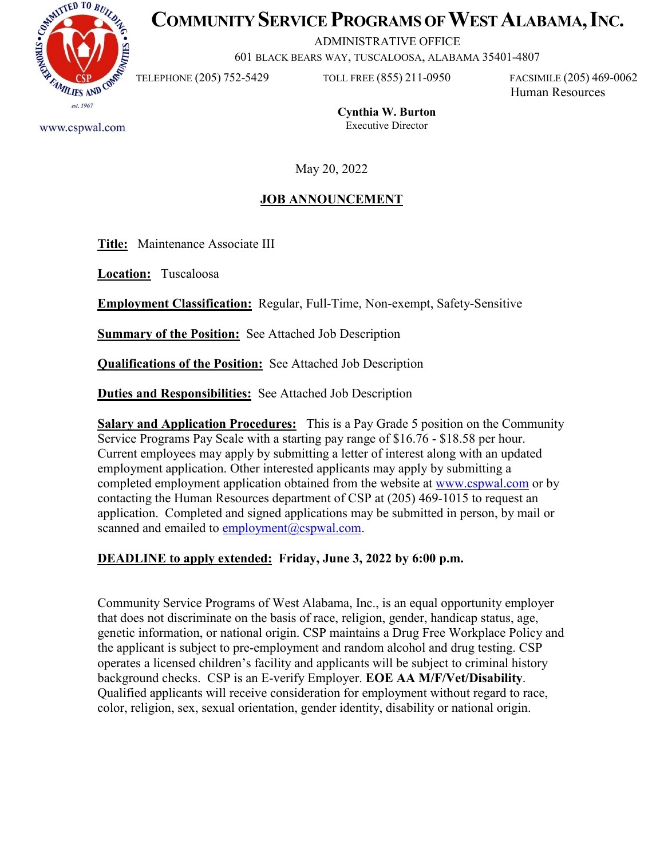

www.cspwal.com

# **COMMUNITY SERVICE PROGRAMS OF WEST ALABAMA, INC.**

ADMINISTRATIVE OFFICE

601 BLACK BEARS WAY, TUSCALOOSA, ALABAMA 35401-4807

TELEPHONE (205) 752-5429 TOLL FREE (855) 211-0950 FACSIMILE (205) 469-0062

Human Resources

**Cynthia W. Burton** Executive Director

May 20, 2022

# **JOB ANNOUNCEMENT**

**Title:** Maintenance Associate III

**Location:** Tuscaloosa

**Employment Classification:** Regular, Full-Time, Non-exempt, Safety-Sensitive

**<u>Summary of the Position:</u>** See Attached Job Description

**Qualifications of the Position:** See Attached Job Description

**Duties and Responsibilities:** See Attached Job Description

**Salary and Application Procedures:** This is a Pay Grade 5 position on the Community Service Programs Pay Scale with a starting pay range of \$16.76 - \$18.58 per hour. Current employees may apply by submitting a letter of interest along with an updated employment application. Other interested applicants may apply by submitting a completed employment application obtained from the website at [www.cspwal.com](http://www.cspwal.com/) or by contacting the Human Resources department of CSP at (205) 469-1015 to request an application. Completed and signed applications may be submitted in person, by mail or scanned and emailed to [employment@cspwal.com.](mailto:employment@cspwal.com)

## **DEADLINE to apply extended: Friday, June 3, 2022 by 6:00 p.m.**

Community Service Programs of West Alabama, Inc., is an equal opportunity employer that does not discriminate on the basis of race, religion, gender, handicap status, age, genetic information, or national origin. CSP maintains a Drug Free Workplace Policy and the applicant is subject to pre-employment and random alcohol and drug testing. CSP operates a licensed children's facility and applicants will be subject to criminal history background checks. CSP is an E-verify Employer. **EOE AA M/F/Vet/Disability**. Qualified applicants will receive consideration for employment without regard to race, color, religion, sex, sexual orientation, gender identity, disability or national origin.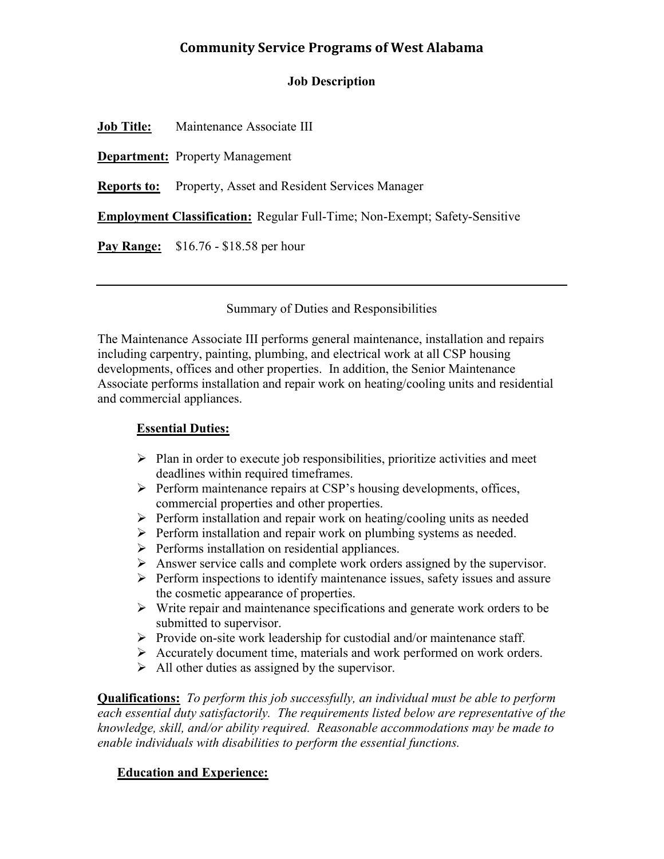## **Community Service Programs of West Alabama**

#### **Job Description**

**Job Title:** Maintenance Associate III

**Department:** Property Management

**Reports to:** Property, Asset and Resident Services Manager

**Employment Classification:** Regular Full-Time; Non-Exempt; Safety-Sensitive

**Pay Range:** \$16.76 - \$18.58 per hour

#### Summary of Duties and Responsibilities

The Maintenance Associate III performs general maintenance, installation and repairs including carpentry, painting, plumbing, and electrical work at all CSP housing developments, offices and other properties. In addition, the Senior Maintenance Associate performs installation and repair work on heating/cooling units and residential and commercial appliances.

#### **Essential Duties:**

- $\triangleright$  Plan in order to execute job responsibilities, prioritize activities and meet deadlines within required timeframes.
- $\triangleright$  Perform maintenance repairs at CSP's housing developments, offices, commercial properties and other properties.
- $\triangleright$  Perform installation and repair work on heating/cooling units as needed
- $\triangleright$  Perform installation and repair work on plumbing systems as needed.
- $\triangleright$  Performs installation on residential appliances.
- Answer service calls and complete work orders assigned by the supervisor.
- $\triangleright$  Perform inspections to identify maintenance issues, safety issues and assure the cosmetic appearance of properties.
- $\triangleright$  Write repair and maintenance specifications and generate work orders to be submitted to supervisor.
- $\triangleright$  Provide on-site work leadership for custodial and/or maintenance staff.
- Accurately document time, materials and work performed on work orders.
- $\triangleright$  All other duties as assigned by the supervisor.

**Qualifications:** *To perform this job successfully, an individual must be able to perform each essential duty satisfactorily. The requirements listed below are representative of the knowledge, skill, and/or ability required. Reasonable accommodations may be made to enable individuals with disabilities to perform the essential functions.*

#### **Education and Experience:**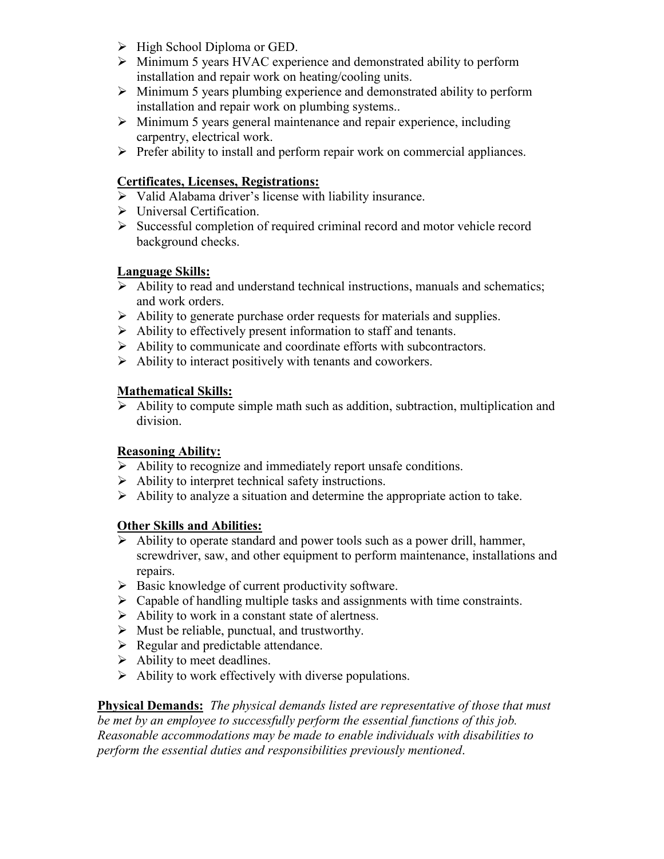- $\triangleright$  High School Diploma or GED.
- Minimum 5 years HVAC experience and demonstrated ability to perform installation and repair work on heating/cooling units.
- $\triangleright$  Minimum 5 years plumbing experience and demonstrated ability to perform installation and repair work on plumbing systems..
- $\triangleright$  Minimum 5 years general maintenance and repair experience, including carpentry, electrical work.
- $\triangleright$  Prefer ability to install and perform repair work on commercial appliances.

#### **Certificates, Licenses, Registrations:**

- $\triangleright$  Valid Alabama driver's license with liability insurance.
- > Universal Certification.
- $\triangleright$  Successful completion of required criminal record and motor vehicle record background checks.

#### **Language Skills:**

- $\triangleright$  Ability to read and understand technical instructions, manuals and schematics; and work orders.
- $\triangleright$  Ability to generate purchase order requests for materials and supplies.
- $\triangleright$  Ability to effectively present information to staff and tenants.
- Ability to communicate and coordinate efforts with subcontractors.
- $\triangleright$  Ability to interact positively with tenants and coworkers.

### **Mathematical Skills:**

 $\triangleright$  Ability to compute simple math such as addition, subtraction, multiplication and division.

#### **Reasoning Ability:**

- $\triangleright$  Ability to recognize and immediately report unsafe conditions.
- $\triangleright$  Ability to interpret technical safety instructions.
- $\triangleright$  Ability to analyze a situation and determine the appropriate action to take.

#### **Other Skills and Abilities:**

- $\triangleright$  Ability to operate standard and power tools such as a power drill, hammer, screwdriver, saw, and other equipment to perform maintenance, installations and repairs.
- $\triangleright$  Basic knowledge of current productivity software.
- $\triangleright$  Capable of handling multiple tasks and assignments with time constraints.
- $\triangleright$  Ability to work in a constant state of alertness.
- $\triangleright$  Must be reliable, punctual, and trustworthy.
- $\triangleright$  Regular and predictable attendance.
- $\triangleright$  Ability to meet deadlines.
- $\triangleright$  Ability to work effectively with diverse populations.

**Physical Demands:** *The physical demands listed are representative of those that must be met by an employee to successfully perform the essential functions of this job. Reasonable accommodations may be made to enable individuals with disabilities to perform the essential duties and responsibilities previously mentioned*.